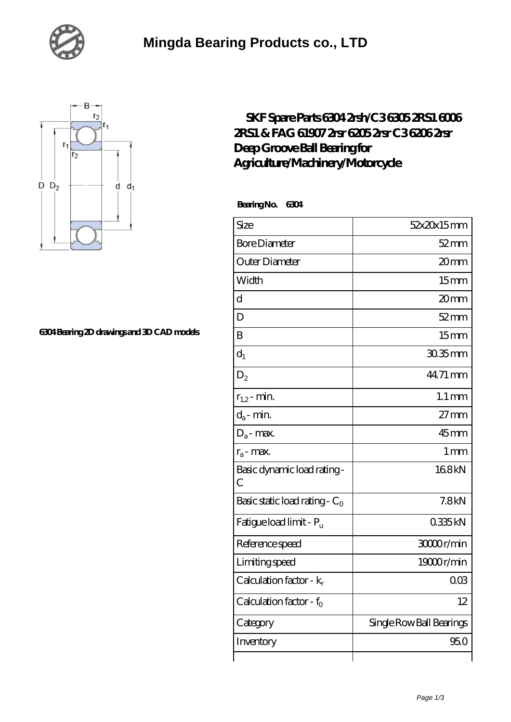



## **[6304 Bearing 2D drawings and 3D CAD models](https://xnxse.com/pic-630662.html)**

## **[SKF Spare Parts 6304 2rsh/C3 6305 2RS1 6006](https://xnxse.com/sell-630662-skf-spare-parts-6304-2rsh-c3-6305-2rs1-6006-2rs1-fag-61907-2rsr-6205-2rsr-c3-6206-2rsr-deep-groove-ball-bearing-for-agriculture-machinery-motorcycle.html) [2RS1 & FAG 61907 2rsr 6205 2rsr C3 6206 2rsr](https://xnxse.com/sell-630662-skf-spare-parts-6304-2rsh-c3-6305-2rs1-6006-2rs1-fag-61907-2rsr-6205-2rsr-c3-6206-2rsr-deep-groove-ball-bearing-for-agriculture-machinery-motorcycle.html) [Deep Groove Ball Bearing for](https://xnxse.com/sell-630662-skf-spare-parts-6304-2rsh-c3-6305-2rs1-6006-2rs1-fag-61907-2rsr-6205-2rsr-c3-6206-2rsr-deep-groove-ball-bearing-for-agriculture-machinery-motorcycle.html) [Agriculture/Machinery/Motorcycle](https://xnxse.com/sell-630662-skf-spare-parts-6304-2rsh-c3-6305-2rs1-6006-2rs1-fag-61907-2rsr-6205-2rsr-c3-6206-2rsr-deep-groove-ball-bearing-for-agriculture-machinery-motorcycle.html)**

 **Bearing No. 6304**

| Size                                         | 52x20x15mm               |
|----------------------------------------------|--------------------------|
| <b>Bore Diameter</b>                         | $52$ mm                  |
| Outer Diameter                               | 20 <sub>mm</sub>         |
| Width                                        | 15 <sub>mm</sub>         |
| $\mathbf d$                                  | 20mm                     |
| D                                            | $52$ mm                  |
| B                                            | 15 <sub>mm</sub>         |
| $d_1$                                        | 30.35mm                  |
| $D_2$                                        | 44.71 mm                 |
| $r_{1,2}$ - min.                             | $1.1 \,\mathrm{mm}$      |
| $d_a$ - min.                                 | $27 \text{mm}$           |
| $D_a$ - max.                                 | $45$ mm                  |
| $r_a$ - max.                                 | 1 <sub>mm</sub>          |
| Basic dynamic load rating-<br>$\overline{C}$ | 168kN                    |
| Basic static load rating - $C_0$             | 7.8kN                    |
| Fatigue load limit - $P_{\rm u}$             | 0335kN                   |
| Reference speed                              | 3000r/min                |
| Limiting speed                               | 19000r/min               |
| Calculation factor - $k_r$                   | 003                      |
| Calculation factor - $f_0$                   | 12                       |
| Category                                     | Single Row Ball Bearings |
| Inventory                                    | 95.0                     |
|                                              |                          |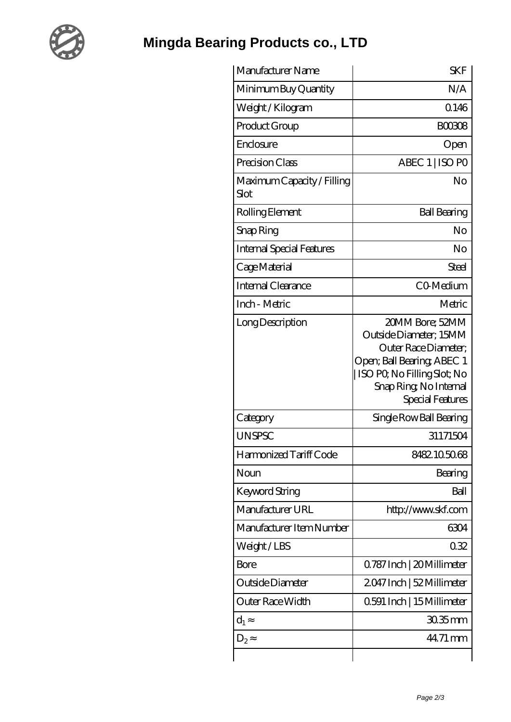

**[Mingda Bearing Products co., LTD](https://xnxse.com)**

| Manufacturer Name                  | <b>SKF</b>                                                                                                                                                                    |
|------------------------------------|-------------------------------------------------------------------------------------------------------------------------------------------------------------------------------|
| Minimum Buy Quantity               | N/A                                                                                                                                                                           |
| Weight/Kilogram                    | 0.146                                                                                                                                                                         |
| Product Group                      | <b>BOO308</b>                                                                                                                                                                 |
| Enclosure                          | Open                                                                                                                                                                          |
| Precision Class                    | ABEC 1   ISO PO                                                                                                                                                               |
| Maximum Capacity / Filling<br>Slot | N <sub>O</sub>                                                                                                                                                                |
| Rolling Element                    | <b>Ball Bearing</b>                                                                                                                                                           |
| Snap Ring                          | No                                                                                                                                                                            |
| <b>Internal Special Features</b>   | No                                                                                                                                                                            |
| Cage Material                      | Steel                                                                                                                                                                         |
| Internal Clearance                 | CO-Medium                                                                                                                                                                     |
| Inch - Metric                      | Metric                                                                                                                                                                        |
| Long Description                   | 20MM Bore; 52MM<br>Outside Diameter; 15MM<br>Outer Race Diameter;<br>Open; Ball Bearing; ABEC 1<br>  ISO PQ No Filling Slot; No<br>Snap Ring, No Internal<br>Special Features |
| Category                           | Single Row Ball Bearing                                                                                                                                                       |
| <b>UNSPSC</b>                      | 31171504                                                                                                                                                                      |
| Harmonized Tariff Code             | 8482105068                                                                                                                                                                    |
| Noun                               | Bearing                                                                                                                                                                       |
| Keyword String                     | Ball                                                                                                                                                                          |
| Manufacturer URL                   | http://www.skf.com                                                                                                                                                            |
| Manufacturer Item Number           | 6304                                                                                                                                                                          |
| Weight/LBS                         | 032                                                                                                                                                                           |
| Bore                               | 0.787 Inch   20 Millimeter                                                                                                                                                    |
| Outside Diameter                   | 2047 Inch   52 Millimeter                                                                                                                                                     |
| Outer Race Width                   | 0.591 Inch   15 Millimeter                                                                                                                                                    |
| $d_1$                              | $3035$ mm                                                                                                                                                                     |
| $D_2$                              | 44.71 mm                                                                                                                                                                      |
|                                    |                                                                                                                                                                               |